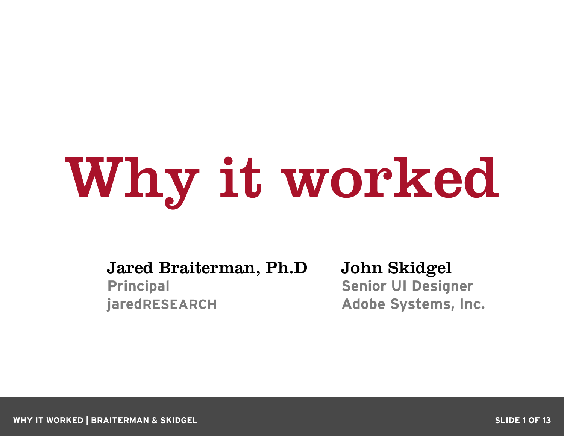# Why it worked

Jared Braiterman, Ph.D **Principal jaredRESEARCH**

John Skidgel **Senior UI Designer Adobe Systems, Inc.**

**WHY IT WORKED | BRAITERMAN & SKIDGEL SLIDE 1 OF 13**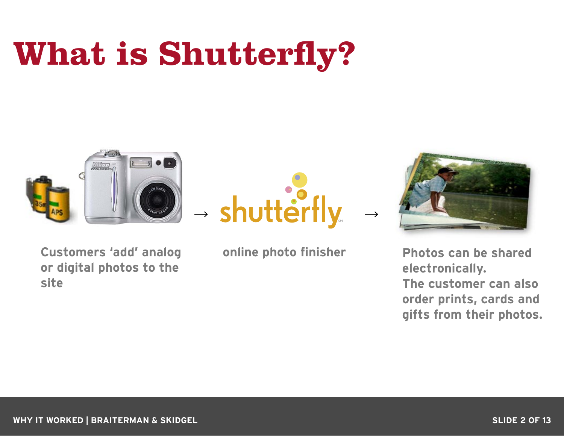### **What is Shutterfly?**



- shutterfly

**Customers 'add' analog online photo finisher or digital photos to the site**



**Photos can be shared electronically. The customer can also order prints, cards and gifts from their photos.**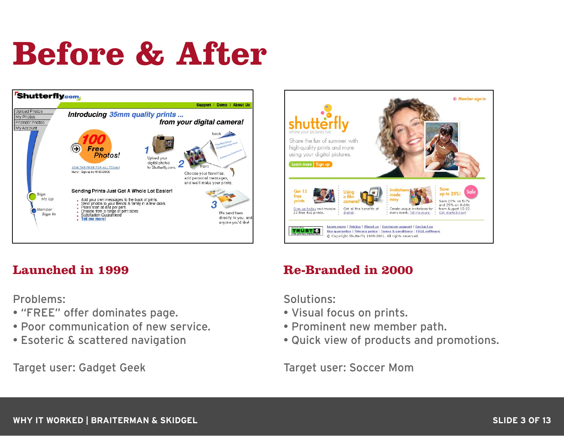### **Before & After**





#### **Launched in 1999**

Problems:

- "FREE" offer dominates page.
- Poor communication of new service.
- Esoteric & scattered navigation

Target user: Gadget Geek

#### **Re-Branded in 2000**

Solutions:

- Visual focus on prints.
- Prominent new member path.
- Quick view of products and promotions.

Target user: Soccer Mom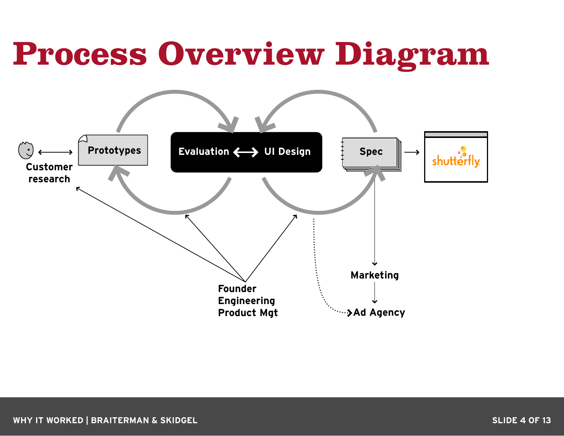#### **Process Overview Diagram**

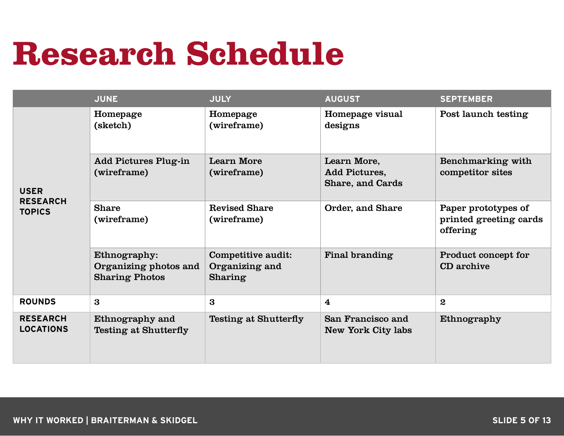#### **Research Schedule**

|                                                 | <b>JUNE</b>                                                    | <b>JULY</b>                                            | <b>AUGUST</b>                                    | <b>SEPTEMBER</b>                                          |
|-------------------------------------------------|----------------------------------------------------------------|--------------------------------------------------------|--------------------------------------------------|-----------------------------------------------------------|
| <b>USER</b><br><b>RESEARCH</b><br><b>TOPICS</b> | Homepage<br>(sketch)                                           | Homepage<br>(wireframe)                                | Homepage visual<br>designs                       | Post launch testing                                       |
|                                                 | <b>Add Pictures Plug-in</b><br>(wireframe)                     | <b>Learn More</b><br>(wireframe)                       | Learn More,<br>Add Pictures,<br>Share, and Cards | Benchmarking with<br>competitor sites                     |
|                                                 | <b>Share</b><br>(wireframe)                                    | <b>Revised Share</b><br>(wireframe)                    | Order, and Share                                 | Paper prototypes of<br>printed greeting cards<br>offering |
|                                                 | Ethnography:<br>Organizing photos and<br><b>Sharing Photos</b> | Competitive audit:<br>Organizing and<br><b>Sharing</b> | Final branding                                   | Product concept for<br>CD archive                         |
| <b>ROUNDS</b>                                   | 3                                                              | 3                                                      | $\overline{\mathbf{4}}$                          | $\mathbf{2}$                                              |
| <b>RESEARCH</b><br><b>LOCATIONS</b>             | Ethnography and<br><b>Testing at Shutterfly</b>                | Testing at Shutterfly                                  | San Francisco and<br>New York City labs          | Ethnography                                               |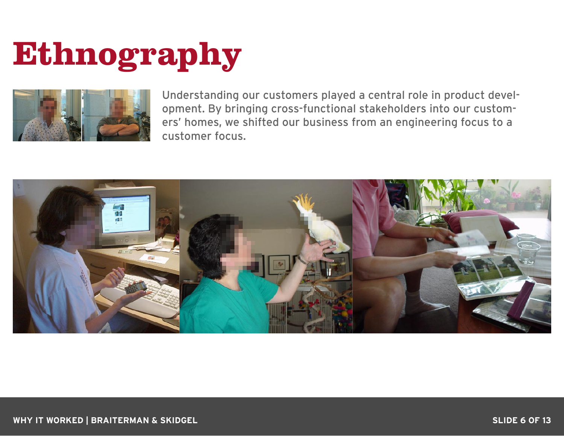### **Ethnography**



Understanding our customers played a central role in product development. By bringing cross-functional stakeholders into our customers' homes, we shifted our business from an engineering focus to a customer focus.

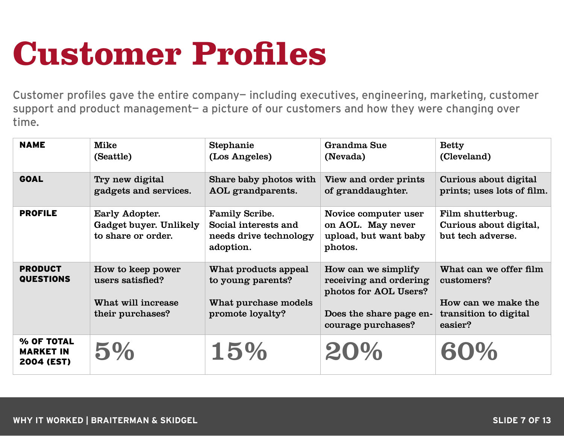### **Customer Profiles**

Customer profiles gave the entire company— including executives, engineering, marketing, customer support and product management- a picture of our customers and how they were changing over time.

| <b>NAME</b>                                  | <b>Mike</b><br>(Seattle)                                                        | Stephanie<br>(Los Angeles)                                                            | Grandma Sue<br>(Nevada)                                                                                                 | <b>Betty</b><br>(Cleveland)                                                                     |
|----------------------------------------------|---------------------------------------------------------------------------------|---------------------------------------------------------------------------------------|-------------------------------------------------------------------------------------------------------------------------|-------------------------------------------------------------------------------------------------|
| <b>GOAL</b>                                  | Try new digital<br>gadgets and services.                                        | Share baby photos with<br>AOL grandparents.                                           | View and order prints<br>of granddaughter.                                                                              | Curious about digital<br>prints; uses lots of film.                                             |
| <b>PROFILE</b>                               | Early Adopter.<br>Gadget buyer. Unlikely<br>to share or order.                  | <b>Family Scribe.</b><br>Social interests and<br>needs drive technology<br>adoption.  | Novice computer user<br>on AOL. May never<br>upload, but want baby<br>photos.                                           | Film shutterbug.<br>Curious about digital,<br>but tech adverse.                                 |
| <b>PRODUCT</b><br><b>QUESTIONS</b>           | How to keep power<br>users satisfied?<br>What will increase<br>their purchases? | What products appeal<br>to young parents?<br>What purchase models<br>promote loyalty? | How can we simplify<br>receiving and ordering<br>photos for AOL Users?<br>Does the share page en-<br>courage purchases? | What can we offer film<br>customers?<br>How can we make the<br>transition to digital<br>easier? |
| % OF TOTAL<br><b>MARKET IN</b><br>2004 (EST) | 5%                                                                              | 15%                                                                                   | 20%                                                                                                                     | 60%                                                                                             |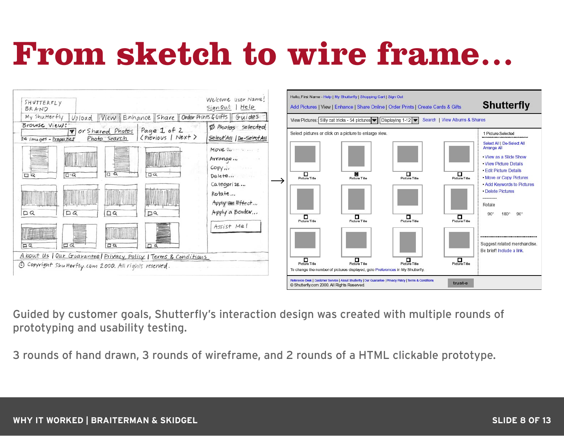#### **From sketch to wire frame…**



Guided by customer goals, Shutterfly's interaction design was created with multiple rounds of prototyping and usability testing.

3 rounds of hand drawn, 3 rounds of wireframe, and 2 rounds of a HTML clickable prototype.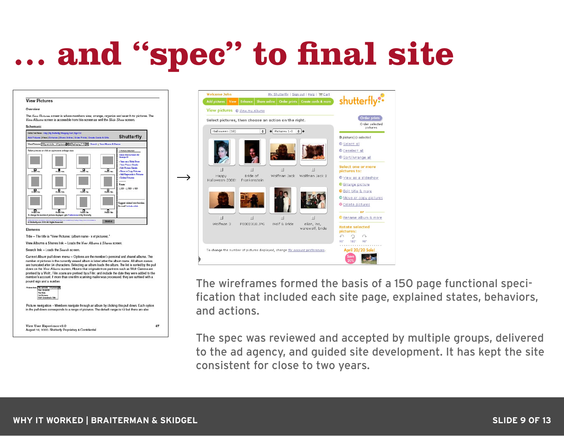### **… and "spec" to final site**

#### **View Pictures**

Overview

The Wew Plotures screen is where members view, arrange, organize and search for pictures. The View Albums screen is accessible from this screen as well the Slide Show screen.



Title - The title is "View Pictures: (album name - x of pictures)."

View Albums & Shares link - Loads the View Albums & Shares screen.

Search link - Loads the Search screen



The Kids<br>Cat Pictures<br>Wolf: Grandm Picture navigation - Members navigate through an album by clicking this pull down. Each option in the pull down corresponds to a range of pictures. The default range is 12 but there are also

View User Experience v2.0 August 16, 2000. Shutterfly Proprietary & Contidential



The wireframes formed the basis of a 150 page functional specification that included each site page, explained states, behaviors, and actions.

The spec was reviewed and accepted by multiple groups, delivered to the ad agency, and guided site development. It has kept the site consistent for close to two years.

 $47$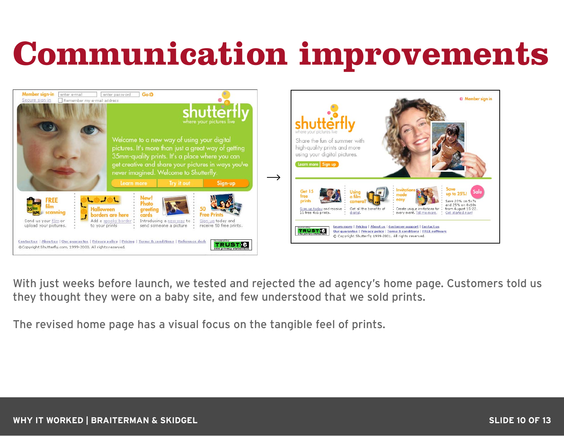### **Communication improvements**



With just weeks before launch, we tested and rejected the ad agency's home page. Customers told us they thought they were on a baby site, and few understood that we sold prints.

The revised home page has a visual focus on the tangible feel of prints.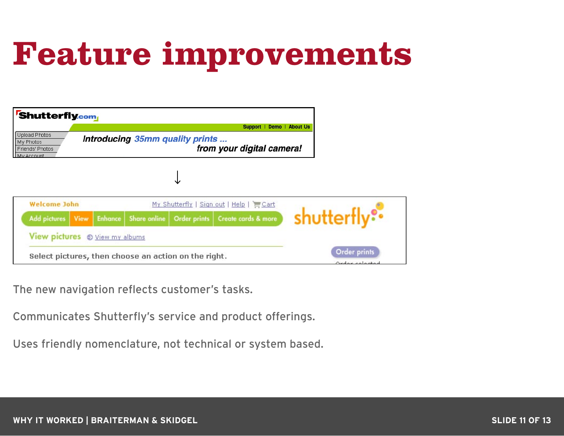### **Feature improvements**

| <b>Shutterfly.com</b>                                                                                                              |  |  |  |                                                      | Support   Demo   About Us                         |                                |
|------------------------------------------------------------------------------------------------------------------------------------|--|--|--|------------------------------------------------------|---------------------------------------------------|--------------------------------|
| <b>Upload Photos</b><br>Introducing 35mm quality prints<br>My Photos<br>from your digital camera!<br>Friends' Photos<br>My Account |  |  |  |                                                      |                                                   |                                |
|                                                                                                                                    |  |  |  |                                                      |                                                   |                                |
| <b>Welcome John</b>                                                                                                                |  |  |  |                                                      | My Shutterfly   Sign out   Help   Cart            |                                |
| Add pictures View Enhance                                                                                                          |  |  |  |                                                      | Share online   Order prints   Create cards & more | shutterfly <sup>®®</sup>       |
| View pictures $\odot$ View my albums                                                                                               |  |  |  |                                                      |                                                   |                                |
|                                                                                                                                    |  |  |  | Select pictures, then choose an action on the right. |                                                   | Order prints<br>Order coloctos |

The new navigation reflects customer's tasks.

Communicates Shutterfly's service and product offerings.

Uses friendly nomenclature, not technical or system based.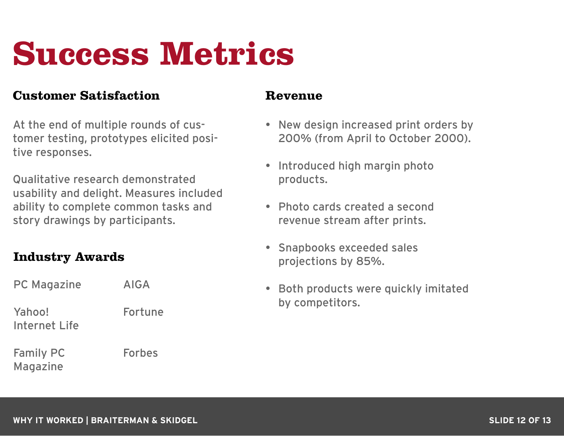### **Success Metrics**

#### **Customer Satisfaction**

At the end of multiple rounds of customer testing, prototypes elicited positive responses.

Qualitative research demonstrated usability and delight. Measures included ability to complete common tasks and story drawings by participants.

#### **Industry Awards**

| <b>PC Magazine</b>                  | AIGA          |
|-------------------------------------|---------------|
| Yahoo!<br>Internet Life             | Fortune       |
| <b>Family PC</b><br><b>Magazine</b> | <b>Forbes</b> |

#### **Revenue**

- New design increased print orders by 200% (from April to October 2000).
- Introduced high margin photo products.
- Photo cards created a second revenue stream after prints.
- Snapbooks exceeded sales projections by 85%.
- Both products were quickly imitated by competitors.